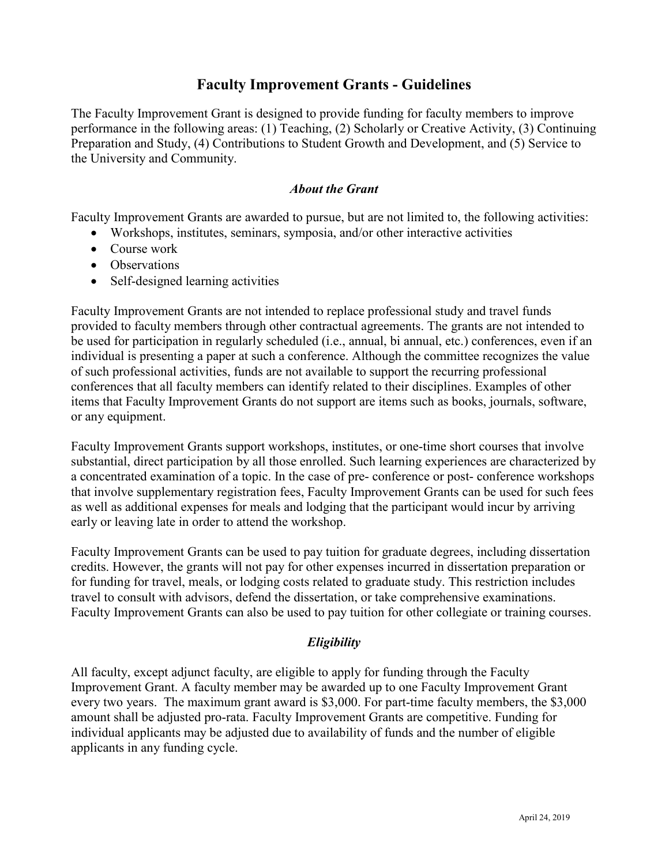# **Faculty Improvement Grants - Guidelines**

The Faculty Improvement Grant is designed to provide funding for faculty members to improve performance in the following areas: (1) Teaching, (2) Scholarly or Creative Activity, (3) Continuing Preparation and Study, (4) Contributions to Student Growth and Development, and (5) Service to the University and Community.

## *About the Grant*

Faculty Improvement Grants are awarded to pursue, but are not limited to, the following activities:

- Workshops, institutes, seminars, symposia, and/or other interactive activities
- Course work
- Observations
- Self-designed learning activities

Faculty Improvement Grants are not intended to replace professional study and travel funds provided to faculty members through other contractual agreements. The grants are not intended to be used for participation in regularly scheduled (i.e., annual, bi annual, etc.) conferences, even if an individual is presenting a paper at such a conference. Although the committee recognizes the value of such professional activities, funds are not available to support the recurring professional conferences that all faculty members can identify related to their disciplines. Examples of other items that Faculty Improvement Grants do not support are items such as books, journals, software, or any equipment.

Faculty Improvement Grants support workshops, institutes, or one-time short courses that involve substantial, direct participation by all those enrolled. Such learning experiences are characterized by a concentrated examination of a topic. In the case of pre- conference or post- conference workshops that involve supplementary registration fees, Faculty Improvement Grants can be used for such fees as well as additional expenses for meals and lodging that the participant would incur by arriving early or leaving late in order to attend the workshop.

Faculty Improvement Grants can be used to pay tuition for graduate degrees, including dissertation credits. However, the grants will not pay for other expenses incurred in dissertation preparation or for funding for travel, meals, or lodging costs related to graduate study. This restriction includes travel to consult with advisors, defend the dissertation, or take comprehensive examinations. Faculty Improvement Grants can also be used to pay tuition for other collegiate or training courses.

## *Eligibility*

All faculty, except adjunct faculty, are eligible to apply for funding through the Faculty Improvement Grant. A faculty member may be awarded up to one Faculty Improvement Grant every two years. The maximum grant award is \$3,000. For part-time faculty members, the \$3,000 amount shall be adjusted pro-rata. Faculty Improvement Grants are competitive. Funding for individual applicants may be adjusted due to availability of funds and the number of eligible applicants in any funding cycle.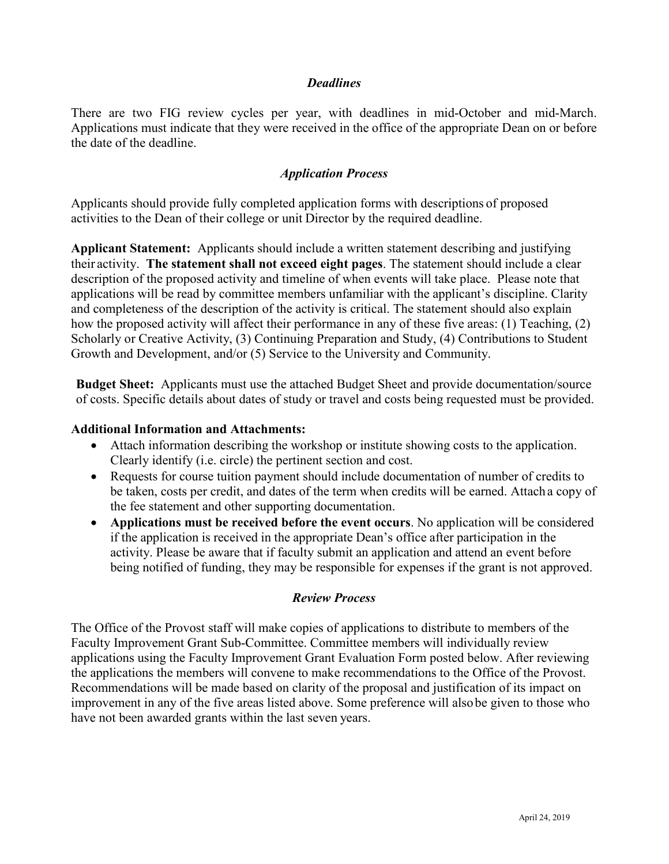### *Deadlines*

There are two FIG review cycles per year, with deadlines in mid-October and mid-March. Applications must indicate that they were received in the office of the appropriate Dean on or before the date of the deadline.

### *Application Process*

Applicants should provide fully completed application forms with descriptions of proposed activities to the Dean of their college or unit Director by the required deadline.

**Applicant Statement:** Applicants should include a written statement describing and justifying their activity. **The statement shall not exceed eight pages**. The statement should include a clear description of the proposed activity and timeline of when events will take place. Please note that applications will be read by committee members unfamiliar with the applicant's discipline. Clarity and completeness of the description of the activity is critical. The statement should also explain how the proposed activity will affect their performance in any of these five areas: (1) Teaching, (2) Scholarly or Creative Activity, (3) Continuing Preparation and Study, (4) Contributions to Student Growth and Development, and/or (5) Service to the University and Community.

**Budget Sheet:** Applicants must use the attached Budget Sheet and provide documentation/source of costs. Specific details about dates of study or travel and costs being requested must be provided.

#### **Additional Information and Attachments:**

- Attach information describing the workshop or institute showing costs to the application. Clearly identify (i.e. circle) the pertinent section and cost.
- Requests for course tuition payment should include documentation of number of credits to be taken, costs per credit, and dates of the term when credits will be earned. Attach a copy of the fee statement and other supporting documentation.
- **Applications must be received before the event occurs**. No application will be considered if the application is received in the appropriate Dean's office after participation in the activity. Please be aware that if faculty submit an application and attend an event before being notified of funding, they may be responsible for expenses if the grant is not approved.

#### *Review Process*

The Office of the Provost staff will make copies of applications to distribute to members of the Faculty Improvement Grant Sub-Committee. Committee members will individually review applications using the Faculty Improvement Grant Evaluation Form posted below. After reviewing the applications the members will convene to make recommendations to the Office of the Provost. Recommendations will be made based on clarity of the proposal and justification of its impact on improvement in any of the five areas listed above. Some preference will alsobe given to those who have not been awarded grants within the last seven years.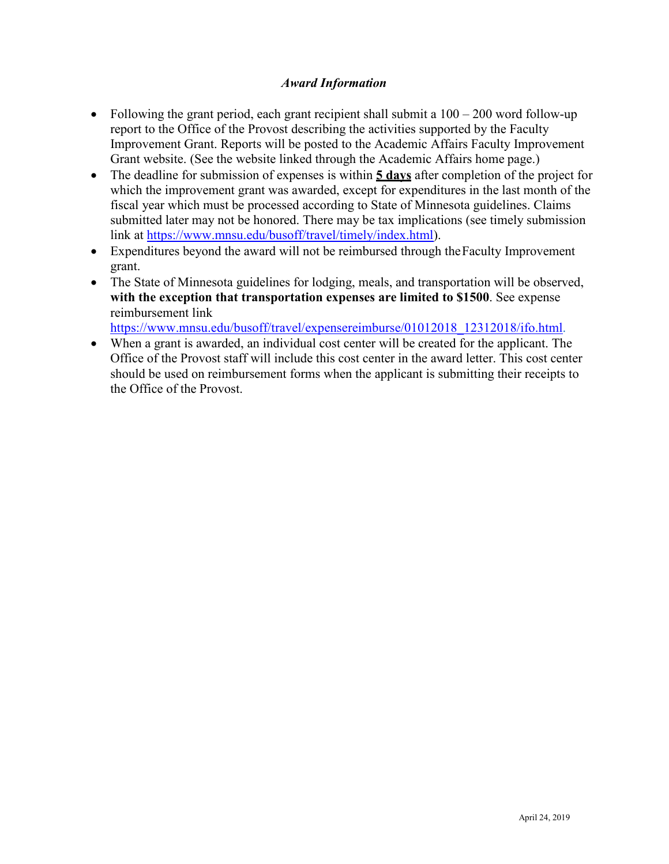## *Award Information*

- Following the grant period, each grant recipient shall submit a  $100 200$  word follow-up report to the Office of the Provost describing the activities supported by the Faculty Improvement Grant. Reports will be posted to the Academic Affairs Faculty Improvement Grant website. (See the website linked through the Academic Affairs home page.)
- The deadline for submission of expenses is within **5 days** after completion of the project for which the improvement grant was awarded, except for expenditures in the last month of the fiscal year which must be processed according to State of Minnesota guidelines. Claims submitted later may not be honored. There may be tax implications (see timely submission link at [https://www.mnsu.edu/busoff/travel/timely/index.html\)](https://www.mnsu.edu/busoff/travel/timely/index.html).
- Expenditures beyond the award will not be reimbursed through the Faculty Improvement grant.
- The State of Minnesota guidelines for lodging, meals, and transportation will be observed, **with the exception that transportation expenses are limited to \$1500**. See expense reimbursement link

https://www.mnsu.edu/busoff/travel/expensereimburse/01012018 12312018/ifo.html.

• When a grant is awarded, an individual cost center will be created for the applicant. The Office of the Provost staff will include this cost center in the award letter. This cost center should be used on reimbursement forms when the applicant is submitting their receipts to the Office of the Provost.